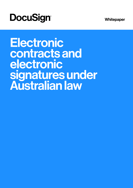**Whitepaper** 

# **DocuSign®**

Electronic contracts and electronic signatures under Australian law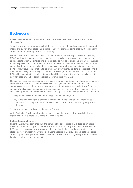## **Background**

An electronic signature is a signature which is applied by electronic means to a document in electronic form.

Australian law generally recognises that deeds and agreements can be executed via electronic means and by way of an electronic signature, however there are some uncertainties impacting deeds, execution by companies and witnessing.

*The Electronic Transactions Act 1999* (Cth) and its State and Territory equivalents (together, 'ETAs') facilitate the use of electronic transactions by giving legal recognition to transactions and contracts which are entered into electronically, as well as to electronic signatures. Subject to some specific carve-outs discussed below, the ETAs provide that transactions and contracts are not invalid because they take place by means of electronic communications. Under the ETAs, if a law requires information to be given in writing, this may be done electronically and if a law requires a signature, it may be electronic. However, there are specific carve-outs to the ETAs which mean that in certain instances, the ability to use electronic signatures is set out in common case law, rather being specifically covered under the ETAs.

The common law in Australia supports the use of electronic contracts and electronic signatures and Australian Courts have historically shown a willingness to adapt the common law to encompass new technology. Australian cases accept that a document in electronic form is a 'document' and satisfies a requirement that a document be in 'writing'. They also confirm that electronic signatures are valid and capable of creating an enforceable agreement provided that:

- · the person signing the document intended to be bound by it; and
- · any formalities relating to execution of that document are satisfied (these formalities could consist of a requirement under a statute or contract or be imposed by a regulatory authority).

A survey of the case law is set out in section 2 below.

While Australian Courts have broadly recognised that electronic contracts and electronic signatures are valid, there are 3 areas that are not as clear:

#### (a) Requirements for deeds

Recent case law has confirmed that the common law still requires that a deed be on paper, vellum or parchment ("paper requirement"). Where the ETAs apply, it is not clear whether the ETAs override the common law requirements in relation to deeds to allow a deed to be in electronic form or electronically executed. Some specific State provisions validate electronic deeds (e.g. for deeds governed by New South Wales law which are signed by individuals under hand or as attorney for a company).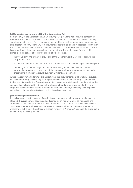#### (b) Companies signing under s127 of the Corporations Act

Section 127(1) of the Corporations Act 2001 (Cth) ("Corporations Act") allows a company to execute a "document" if specified officers "sign" it (two directors or a director and a company secretary or in the case of a proprietary company with a sole director/company secretary, that sole director/company secretary). If a document appears to be signed in accordance with s127, the counterparty assumes that the document has been duly executed: see ss128 and 129(5). It is unclear though the extent to which an agreement, which is in electronic form and which is signed electronically, is afforded the benefit of s127 because:

- · the "no validity" and signature provisions of the Commonwealth ETA do not apply to the Corporations Act;
- · it is unclear whether a "document" for the purposes of s127 must be a paper document; and
- · there may need to be a "single document" which may not be satisfied if an electronic signing platform creates a new copy of the document with every signature so that each officer signs a different (although substantially identical) document.

Where the requirements for s127 are not satisfied, the document may still be validly executed, but the counterparty may not rely on the protection afforded by the statutory assumption as to due execution under the Corporations Act (and would separately need to verify whether the company has duly signed the document by checking board minutes, powers of attorney and corporate constitutions to ensure there are no limits to execution, and ideally to find specific authorisation for the relevant officers to sign the relevant document).

#### (c) Witnessing and attestation

It also is unclear how the signing of an electronic document should be properly witnessed and attested. This is important because a deed signed by an individual must be witnessed and attested in all jurisdictions in Australia except Victoria. There is no Australian case which has considered whether a witness must be physically present when the document is signed or whether it is sufficient if the witness is present "virtually" or "remotely" and sees the signing of a document by electronic means.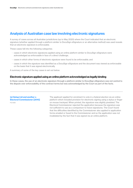## Analysis of Australian case law involving electronic signatures

A survey of cases across all Australian jurisdictions (up to May 2020) where the Court indicated that an electronic signature (whether applied through a platform similar to DocuSign eSignature or an alternative method) was used reveals that an electronic signature is enforceable.

These cases fall into the following categories:

- · cases in which electronic signatures applied using an online platform similar to DocuSign eSignature were acknowledged as enforceable in face of a direct challenge;
- · cases in which other forms of electronic signature were found to be enforceable; and
- · cases in which the signature was identified as a DocuSign eSignature and the document was viewed as enforceable on the basis that it was signed electronically.

A summary of some of the key cases is set out below.

#### Electronic signature applied using an online platform acknowledged as legally binding

In these cases, the use of an electronic signature through a platform similar to DocuSign eSignature was not central to the dispute over enforceability of the contract terms but was acknowledged by the Court as part of the facts.

(a) Getup Ltd and another v. Electoral Commissioner [2010] FCA 869

The applicant applied for enrolment to vote in a federal election via an online platform which included provision for electronic signing using a stylus or finger on mouse trackpad. When printed, the signature was slightly pixelated. The Electoral Commissioner rejected the application because the signature was not sufficient to use as a comparison to future signatures. The Court found that the difficulties identified by the Commissioner also applied to application forms emailed or faxed to the Commissioner and so the application was not invalidated by the fact that it was signed via an online platform.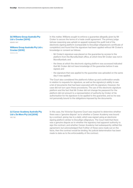#### (b) Williams Group Australia Pty Ltd v. Crocker [2015]

NSWSC 1907

Williams Group Australia Pty Ltd v. Crocker [2016]

NSWCA 265

In this matter, Williams sought to enforce a guarantee allegedly given by Mr Croker to secure the terms of a trade credit agreement. The primary judge (whose reasoning was upheld on appeal) reviewed the audit trail of the electronic signing platform (comparable to DocuSign eSignature's certificate of completion) and found that the signature had been applied without Mr Croker's knowledge or consent as follows:

- · Mr Croker's signature was placed on the guarantee by access to the platform from the Murwillumbah office, at which time Mr Croker was not in Murwillumbah; and
- · the times at which the electronic signing platform was accessed indicated that Mr Croker did not have knowledge of the guarantee before it was signed; and
- · the signature that was applied to the guarantee was uploaded on the same day it was applied.

The Court also considered the platform's follow-up and confirmation emails in relation to requests for signature, as well as the signatory's ability to see a list of documents that had been executed with his signature. However, the case did not turn upon these procedures. The use of the electronic signature platform and the fact that Mr Croker did not change his password for the platform did not amount to a representation of authority by Croker of his authorisation for his signature to be applied to the guarantee, and so he was not personally bound to the obligations imposed by the documents.

#### (c) Career Academy Australia Pty Ltd v. Do More Pty Ltd [2018] VSC 790

In this case, the Victorian Supreme Court was required to determine whether there was a "genuine dispute" as to whether a Career Academy was bound by a contract, giving rise to a debt, which was signed using an electronic signing platform similar to DocuSign eSignature. The Court held that there was a genuine dispute as to whether the signatory had apparent authority to sign the contract, and whether Career Academy had subsequently ratified the agreement, but acknowledged that if either of these were made out on the facts, then the contract would be binding. No judicial determination has been made to date as to the enforceability of the contract.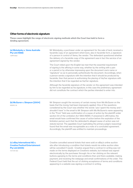### Other forms of electronic signature

These cases highlight the range of electronic signing methods which the Court has held to form a binding agreement.

| (a) Molodysky v. Vema Australia<br><b>Pty Ltd (1988)</b><br>4 BPR 9552                                         | Mr Molodysky, a purchaser under an agreement for the sale of land, received a<br>facsimile copy of an agreement which bore, also in facsimile form, a signature<br>of a person in control of Vema, the vendor. The defendant questioned whether<br>the delivery of a facsimile copy of the agreement was in fact the service of an<br>agreement signed by the vendor.                                                                                                                                                                                                                                                                                                                                                                                                                                                                                                              |  |
|----------------------------------------------------------------------------------------------------------------|------------------------------------------------------------------------------------------------------------------------------------------------------------------------------------------------------------------------------------------------------------------------------------------------------------------------------------------------------------------------------------------------------------------------------------------------------------------------------------------------------------------------------------------------------------------------------------------------------------------------------------------------------------------------------------------------------------------------------------------------------------------------------------------------------------------------------------------------------------------------------------|--|
|                                                                                                                | The Court relied upon the English law test that the essential requirement<br>of signing is the affixing in some way, whether by the writing with a pen<br>or a pencil or by otherwise impressing upon the document one's name or<br>"signature" so as to personally authenticate the document. Accordingly, when<br>a person sends a signature with the intention that it should be produced by<br>facsimile, then that person is authorising the placing of his/her signature with<br>the intention that it be regarded as his/her signature.                                                                                                                                                                                                                                                                                                                                     |  |
|                                                                                                                | Although the facsimile signature of the vendor on the agreement was intended<br>by him to be regarded as his signature, in this case the preliminary agreement<br>did not constitute the contract which the parties intended to enter into.                                                                                                                                                                                                                                                                                                                                                                                                                                                                                                                                                                                                                                        |  |
| (b) McGuren v. Simpson [2004]<br>NSWSC 35                                                                      | Mr Simpson sought the recovery of certain money from Ms McGuren on the<br>basis that the money had been improperly applied. One of the questions<br>considered by the Court was whether the words "yes I spent the money and I<br>shouldn't have" in the email to Mr Simpson with Ms McGuren's name appearing<br>in the "From" field was confirmation of a cause of action by the plaintiff under<br>section 54 of the Limitation Act 1969 (NSW). If answered in affirmative, the<br>email would have confirmed the cause of action before the expiration of the<br>limitation period, such that the defendant's alleged cause of action was not<br>statute barred. The appellate Court (upholding the primary judge's reasoning)<br>found that the email was recognisable as a note of a concluded agreement.<br>Accordingly, the plaintiff was entitled to maintain proceedings. |  |
| (c) eBay International AG v.<br><b>Creative Festival Entertainment</b><br><b>Pty Ltd (2006)</b><br>170 FCR 450 | Creative cancelled several tickets that were sold on eBay's online auction<br>site after introducing a condition that tickets resold via online auction sites<br>will be cancelled if resold. Creative argued that a contract in writing was not<br>made on the terms displayed on Creative's website, but instead was signed<br>electronically by the purchaser through: his or her clicking on the relevant                                                                                                                                                                                                                                                                                                                                                                                                                                                                      |  |

electronically by the purchaser through: his or her clicking on the relevant buttons agreeing to the terms and conditions then and there available; making payment; and receiving the webpage and email confirmations of the order. The Federal Court held that the act of clicking acceptance of terms and conditions appearing in a website was signing a contract in writing.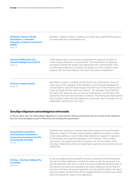| (d) Islamic Council of South<br>Australia Inc v. Australian<br><b>Federation of Islamic Councils Inc</b><br>[2009]<br>NSWSC 211 | Brereton J stated in obiter, in relation to an email, that a typewritten signature<br>is no less valid than a handwritten one.                                                                                                                                                                                                                                                                            |
|---------------------------------------------------------------------------------------------------------------------------------|-----------------------------------------------------------------------------------------------------------------------------------------------------------------------------------------------------------------------------------------------------------------------------------------------------------------------------------------------------------------------------------------------------------|
| (e) Kavia Holdings Pty Ltd v.<br>untrack Holdings Pty Ltd [2011]<br>NSWSC 716                                                   | In this dispute about a contractual requirement for signing in an option to<br>renew a lease, Pembroke J reasoned that "The requirement for signing is<br>intended to identify the sender and authenticate the communication. That<br>is sufficiently achieved in an email by the setting out of the sender's name<br>together with the email address from which the email is despatched."                |
| (f) Stuart v. Hishon [2013]<br><b>NSWSC 766</b>                                                                                 | Mrs Hishon sought to establish that Mr Stuart had confirmed her cause of<br>action prior to the expiration of the limitation period and acknowledged the<br>claimed debt by email. Mr Stuart argued that the Court of first instance erred<br>in law by finding that the email was "signed". The appellate Court held that<br>Mr Stuart had "typed his name on the foot of [his] email" and therefore had |

#### DocuSign eSignature acknowledged as enforceable

In these cases, the use of DocuSign eSignature to execute the relevant document was not central to the disputed but was acknowledged as part of the facts surrounding the agreement.

deliberately inserted his or her name.

| (a) Australian Competition<br>and Consumer Commission v.<br><b>Cornerstone Investment Aus Pty</b><br>Ltd (in liq) (No 4) [2018]<br><b>FCA 1408</b> | Students were signed up to tertiary education programs through DocuSign<br>eSignature. Many of the sales representatives selling the programs created<br>a new email address or sent the DocuSign eSignature request for signature<br>to themselves and forged the signatures of the students. Their conduct<br>was found to be against Australian Consumer Law, but the validity of the<br>DocuSign eSignatures which were legitimately signed by the students was not<br>questioned. |
|----------------------------------------------------------------------------------------------------------------------------------------------------|----------------------------------------------------------------------------------------------------------------------------------------------------------------------------------------------------------------------------------------------------------------------------------------------------------------------------------------------------------------------------------------------------------------------------------------------------------------------------------------|
|                                                                                                                                                    | In this proceeding, the first plaintiff received a document from the defendant                                                                                                                                                                                                                                                                                                                                                                                                         |

#### (b) Zhao v. Bonheur Holdings Pty Ltd [2020] NSWSC 535

In this proceeding, the first plaintiff received a document from the defendant through DocuSign eSignature, but did not review or sign the document. The second defendant then sent an email to the second plaintiff attaching a link to the relevant document and including a DocuSign eSignature record that the document had been viewed and signed by the first plaintiff earlier in the day. It was not pleaded, and the Court did not suggest that the document was invalid due to the electronic nature of the signatures.

signed the email and was bound by its contents. This finding was distinguished from situations where the email signature is automatic, and the sender has not